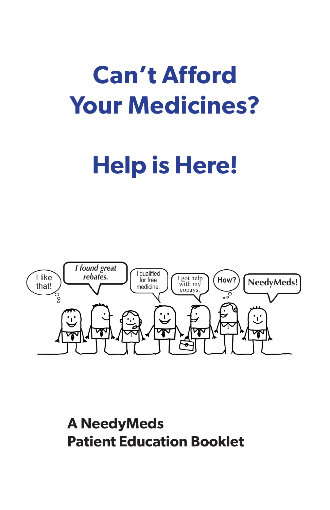# **Can't Afford Your Medicines?**

# **Help is Here!**



**A NeedyMeds Patient Education Booklet**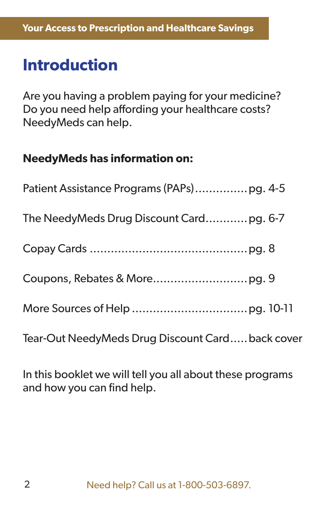### **Introduction**

Are you having a problem paying for your medicine? Do you need help affording your healthcare costs? NeedyMeds can help.

#### **NeedyMeds has information on:**

| The NeedyMeds Drug Discount Cardpg. 6-7          |
|--------------------------------------------------|
|                                                  |
|                                                  |
|                                                  |
| Tear-Out NeedyMeds Drug Discount Card back cover |

In this booklet we will tell you all about these programs and how you can find help.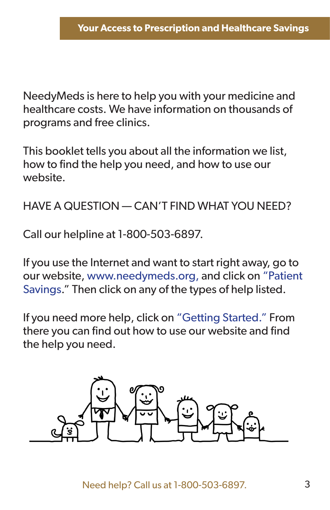NeedyMeds is here to help you with your medicine and healthcare costs. We have information on thousands of programs and free clinics.

This booklet tells you about all the information we list, how to find the help you need, and how to use our website.

#### HAVE A QUESTION — CAN'T FIND WHAT YOU NEED?

Call our helpline at 1-800-503-6897.

If you use the Internet and want to start right away, go to our website, www.needymeds.org, and click on "Patient Savings." Then click on any of the types of help listed.

If you need more help, click on "Getting Started." From there you can find out how to use our website and find the help you need.

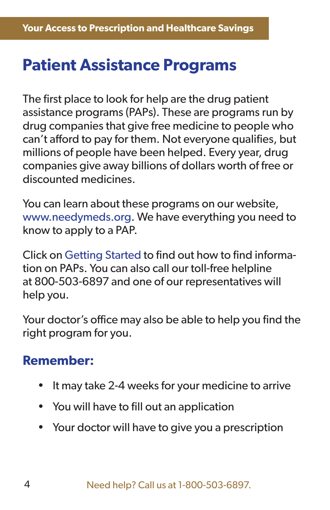### **Patient Assistance Programs**

The first place to look for help are the drug patient assistance programs (PAPs). These are programs run by drug companies that give free medicine to people who can't afford to pay for them. Not everyone qualifies, but millions of people have been helped. Every year, drug companies give away billions of dollars worth of free or discounted medicines.

You can learn about these programs on our website, www.needymeds.org. We have everything you need to know to apply to a PAP.

Click on Getting Started to find out how to find information on PAPs. You can also call our toll-free helpline at 800-503-6897 and one of our representatives will help you.

Your doctor's office may also be able to help you find the right program for you.

#### **Remember:**

- It may take 2-4 weeks for your medicine to arrive
- You will have to fill out an application
- Your doctor will have to give you a prescription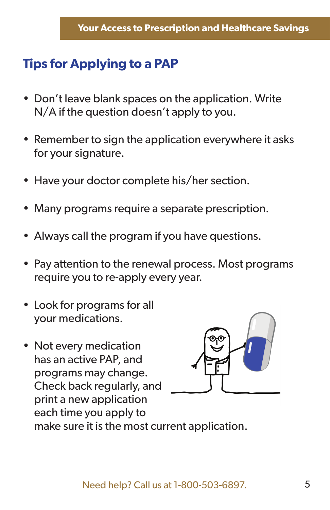### **Tips for Applying to a PAP**

- Don't leave blank spaces on the application. Write N/A if the question doesn't apply to you.
- Remember to sign the application everywhere it asks for your signature.
- Have your doctor complete his/her section.
- Many programs require a separate prescription.
- Always call the program if you have questions.
- Pay attention to the renewal process. Most programs require you to re-apply every year.
- Look for programs for all your medications.
- Not every medication has an active PAP, and programs may change. Check back regularly, and print a new application each time you apply to make sure it is the most current application.

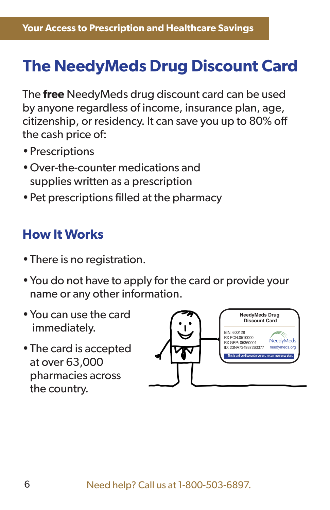# **The NeedyMeds Drug Discount Card**

The **free** NeedyMeds drug discount card can be used by anyone regardless of income, insurance plan, age, citizenship, or residency. It can save you up to 80% off the cash price of:

- Prescriptions
- Over-the-counter medications and supplies written as a prescription
- Pet prescriptions filled at the pharmacy

#### **How It Works**

- There is no registration.
- You do not have to apply for the card or provide your name or any other information.
- You can use the card immediately.
- The card is accepted at over 63,000 pharmacies across the country.

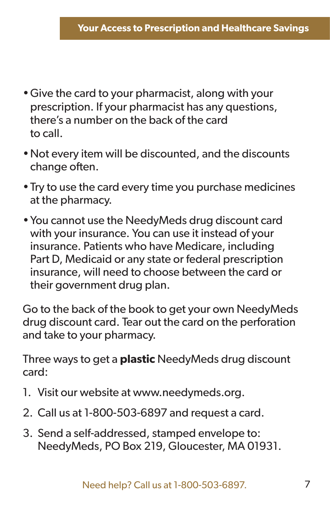- Give the card to your pharmacist, along with your prescription. If your pharmacist has any questions, there's a number on the back of the card to call.
- Not every item will be discounted, and the discounts change often.
- Try to use the card every time you purchase medicines at the pharmacy.
- You cannot use the NeedyMeds drug discount card with your insurance. You can use it instead of your insurance. Patients who have Medicare, including Part D, Medicaid or any state or federal prescription insurance, will need to choose between the card or their government drug plan.

Go to the back of the book to get your own NeedyMeds drug discount card. Tear out the card on the perforation and take to your pharmacy.

Three ways to get a **plastic** NeedyMeds drug discount card:

- 1. Visit our website at www.needymeds.org.
- 2. Call us at 1-800-503-6897 and request a card.
- 3. Send a self-addressed, stamped envelope to: NeedyMeds, PO Box 219, Gloucester, MA 01931.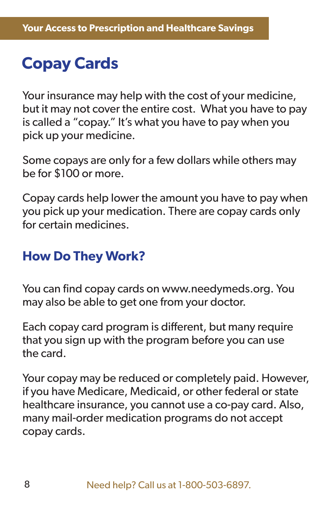# **Copay Cards**

Your insurance may help with the cost of your medicine, but it may not cover the entire cost. What you have to pay is called a "copay." It's what you have to pay when you pick up your medicine.

Some copays are only for a few dollars while others may be for \$100 or more.

Copay cards help lower the amount you have to pay when you pick up your medication. There are copay cards only for certain medicines.

#### **How Do They Work?**

You can find copay cards on www.needymeds.org. You may also be able to get one from your doctor.

Each copay card program is different, but many require that you sign up with the program before you can use the card.

Your copay may be reduced or completely paid. However, if you have Medicare, Medicaid, or other federal or state healthcare insurance, you cannot use a co-pay card. Also, many mail-order medication programs do not accept copay cards.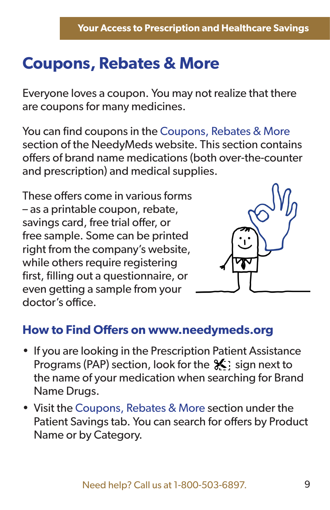# **Coupons, Rebates & More**

Everyone loves a coupon. You may not realize that there are coupons for many medicines.

You can find coupons in the Coupons, Rebates & More section of the NeedyMeds website. This section contains offers of brand name medications (both over-the-counter and prescription) and medical supplies.

These offers come in various forms – as a printable coupon, rebate, savings card, free trial offer, or free sample. Some can be printed right from the company's website, while others require registering first, filling out a questionnaire, or even getting a sample from your doctor's office.



#### **How to Find Offers on www.needymeds.org**

- If you are looking in the Prescription Patient Assistance Programs (PAP) section, look for the  $\mathcal{X}$  sign next to the name of your medication when searching for Brand Name Drugs.
- Visit the Coupons, Rebates & More section under the Patient Savings tab. You can search for offers by Product Name or by Category.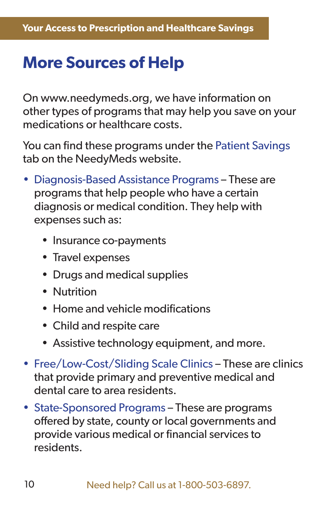## **More Sources of Help**

On www.needymeds.org, we have information on other types of programs that may help you save on your medications or healthcare costs.

You can find these programs under the Patient Savings tab on the NeedyMeds website.

- Diagnosis-Based Assistance Programs These are programs that help people who have a certain diagnosis or medical condition. They help with expenses such as:
	- Insurance co-payments
	- Travel expenses
	- Drugs and medical supplies
	- Nutrition
	- $\bullet$  Home and vehicle modifications
	- Child and respite care
	- Assistive technology equipment, and more.
- Free/Low-Cost/Sliding Scale Clinics These are clinics that provide primary and preventive medical and dental care to area residents.
- State-Sponsored Programs These are programs offered by state, county or local governments and provide various medical or financial services to residents.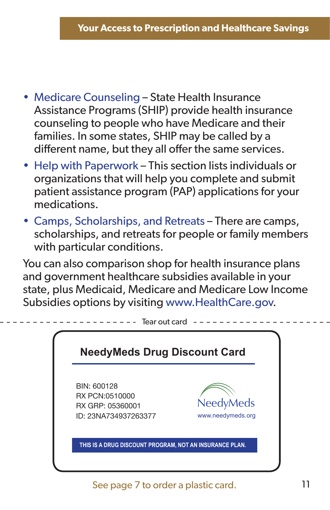- Medicare Counseling State Health Insurance Assistance Programs (SHIP) provide health insurance counseling to people who have Medicare and their families. In some states, SHIP may be called by a different name, but they all offer the same services.
- Help with Paperwork This section lists individuals or organizations that will help you complete and submit patient assistance program (PAP) applications for your medications.
- Camps, Scholarships, and Retreats There are camps, scholarships, and retreats for people or family members with particular conditions.

You can also comparison shop for health insurance plans and government healthcare subsidies available in your state, plus Medicaid, Medicare and Medicare Low Income Subsidies options by visiting www.HealthCare.gov.